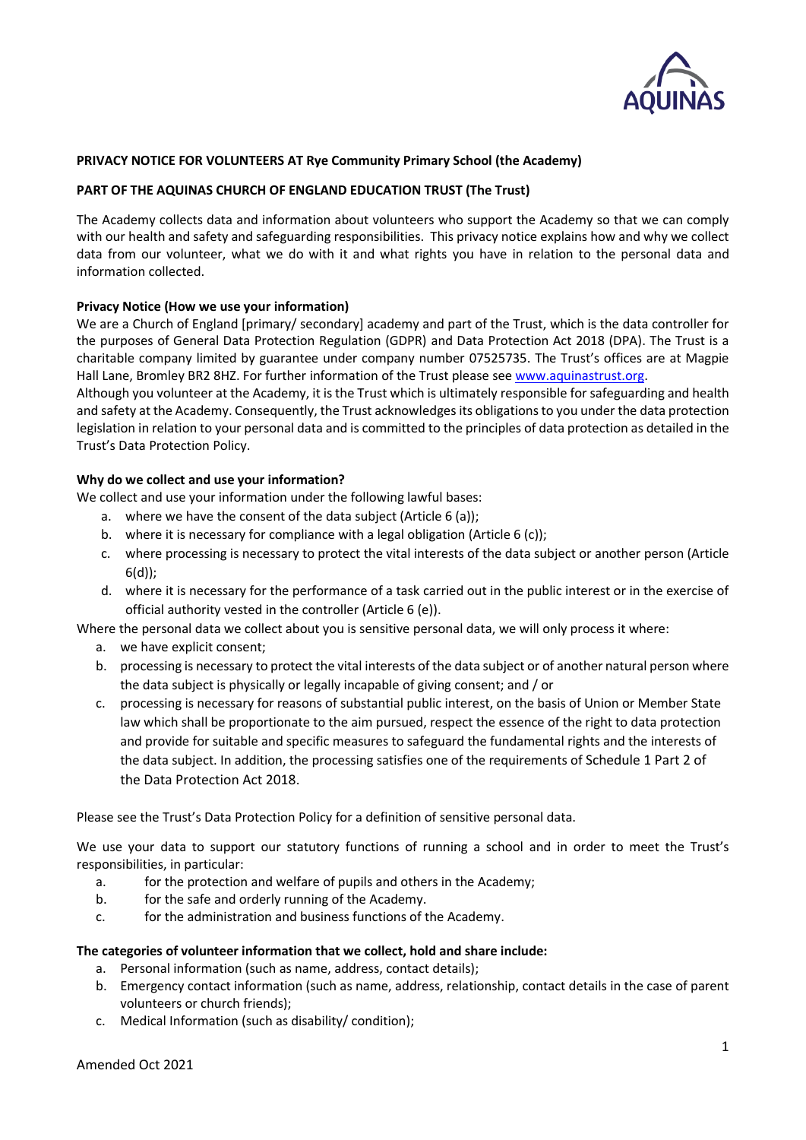

# **PRIVACY NOTICE FOR VOLUNTEERS AT Rye Community Primary School (the Academy)**

### **PART OF THE AQUINAS CHURCH OF ENGLAND EDUCATION TRUST (The Trust)**

The Academy collects data and information about volunteers who support the Academy so that we can comply with our health and safety and safeguarding responsibilities. This privacy notice explains how and why we collect data from our volunteer, what we do with it and what rights you have in relation to the personal data and information collected.

### **Privacy Notice (How we use your information)**

We are a Church of England [primary/ secondary] academy and part of the Trust, which is the data controller for the purposes of General Data Protection Regulation (GDPR) and Data Protection Act 2018 (DPA). The Trust is a charitable company limited by guarantee under company number 07525735. The Trust's offices are at Magpie Hall Lane, Bromley BR2 8HZ. For further information of the Trust please se[e www.aquinastrust.org.](http://www.aquinastrust.org/)

Although you volunteer at the Academy, it is the Trust which is ultimately responsible for safeguarding and health and safety at the Academy. Consequently, the Trust acknowledges its obligations to you under the data protection legislation in relation to your personal data and is committed to the principles of data protection as detailed in the Trust's Data Protection Policy.

### **Why do we collect and use your information?**

We collect and use your information under the following lawful bases:

- a. where we have the consent of the data subject (Article 6 (a));
- b. where it is necessary for compliance with a legal obligation (Article 6 (c));
- c. where processing is necessary to protect the vital interests of the data subject or another person (Article 6(d));
- d. where it is necessary for the performance of a task carried out in the public interest or in the exercise of official authority vested in the controller (Article 6 (e)).

Where the personal data we collect about you is sensitive personal data, we will only process it where:

- a. we have explicit consent;
- b. processing is necessary to protect the vital interests of the data subject or of another natural person where the data subject is physically or legally incapable of giving consent; and / or
- c. processing is necessary for reasons of substantial public interest, on the basis of Union or Member State law which shall be proportionate to the aim pursued, respect the essence of the right to data protection and provide for suitable and specific measures to safeguard the fundamental rights and the interests of the data subject. In addition, the processing satisfies one of the requirements of Schedule 1 Part 2 of the Data Protection Act 2018.

Please see the Trust's Data Protection Policy for a definition of sensitive personal data.

We use your data to support our statutory functions of running a school and in order to meet the Trust's responsibilities, in particular:

- a. for the protection and welfare of pupils and others in the Academy;
- b. for the safe and orderly running of the Academy.
- c. for the administration and business functions of the Academy.

### **The categories of volunteer information that we collect, hold and share include:**

- a. Personal information (such as name, address, contact details);
- b. Emergency contact information (such as name, address, relationship, contact details in the case of parent volunteers or church friends);
- c. Medical Information (such as disability/ condition);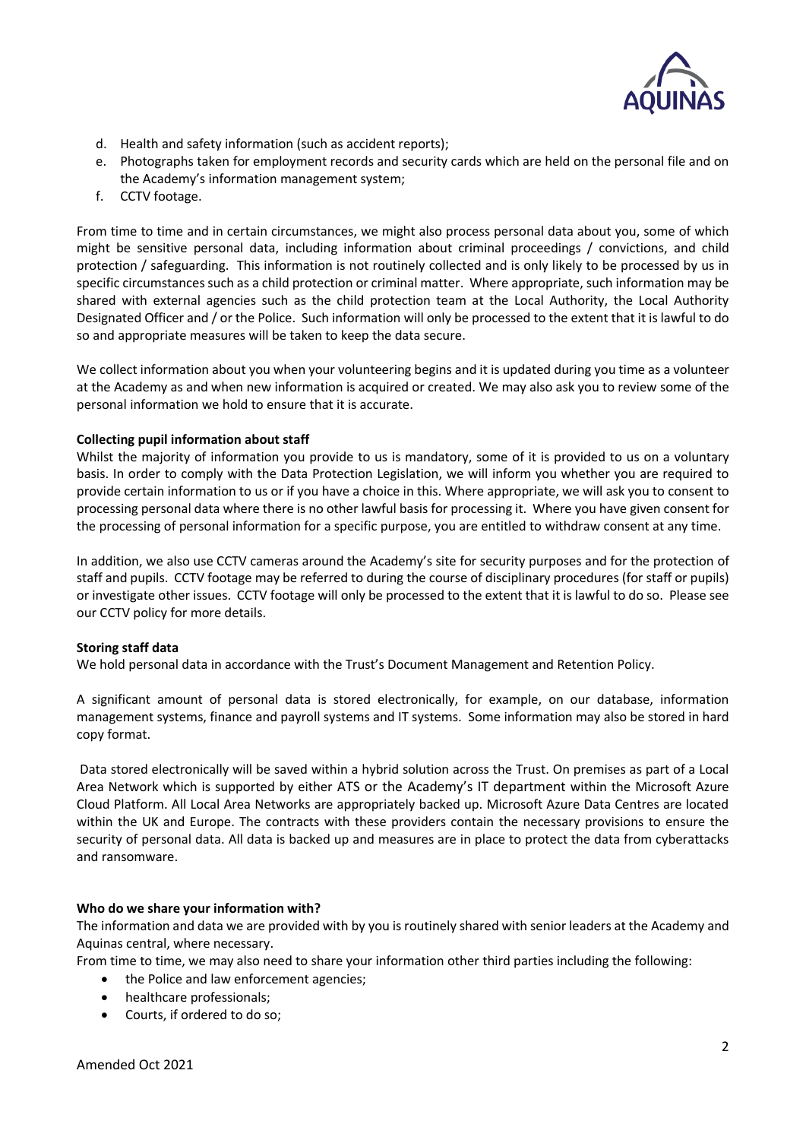

- d. Health and safety information (such as accident reports);
- e. Photographs taken for employment records and security cards which are held on the personal file and on the Academy's information management system;
- f. CCTV footage.

From time to time and in certain circumstances, we might also process personal data about you, some of which might be sensitive personal data, including information about criminal proceedings / convictions, and child protection / safeguarding. This information is not routinely collected and is only likely to be processed by us in specific circumstances such as a child protection or criminal matter. Where appropriate, such information may be shared with external agencies such as the child protection team at the Local Authority, the Local Authority Designated Officer and / or the Police. Such information will only be processed to the extent that it is lawful to do so and appropriate measures will be taken to keep the data secure.

We collect information about you when your volunteering begins and it is updated during you time as a volunteer at the Academy as and when new information is acquired or created. We may also ask you to review some of the personal information we hold to ensure that it is accurate.

## **Collecting pupil information about staff**

Whilst the majority of information you provide to us is mandatory, some of it is provided to us on a voluntary basis. In order to comply with the Data Protection Legislation, we will inform you whether you are required to provide certain information to us or if you have a choice in this. Where appropriate, we will ask you to consent to processing personal data where there is no other lawful basis for processing it. Where you have given consent for the processing of personal information for a specific purpose, you are entitled to withdraw consent at any time.

In addition, we also use CCTV cameras around the Academy's site for security purposes and for the protection of staff and pupils. CCTV footage may be referred to during the course of disciplinary procedures (for staff or pupils) or investigate other issues. CCTV footage will only be processed to the extent that it is lawful to do so. Please see our CCTV policy for more details.

### **Storing staff data**

We hold personal data in accordance with the Trust's Document Management and Retention Policy.

A significant amount of personal data is stored electronically, for example, on our database, information management systems, finance and payroll systems and IT systems. Some information may also be stored in hard copy format.

Data stored electronically will be saved within a hybrid solution across the Trust. On premises as part of a Local Area Network which is supported by either ATS or the Academy's IT department within the Microsoft Azure Cloud Platform. All Local Area Networks are appropriately backed up. Microsoft Azure Data Centres are located within the UK and Europe. The contracts with these providers contain the necessary provisions to ensure the security of personal data. All data is backed up and measures are in place to protect the data from cyberattacks and ransomware.

### **Who do we share your information with?**

The information and data we are provided with by you is routinely shared with senior leaders at the Academy and Aquinas central, where necessary.

From time to time, we may also need to share your information other third parties including the following:

- the Police and law enforcement agencies;
- healthcare professionals;
- Courts, if ordered to do so;